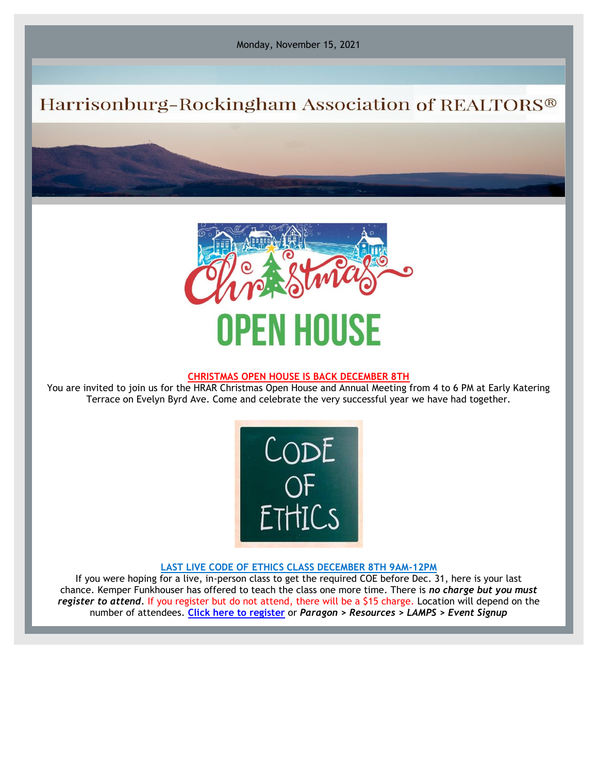Monday, November 15, 2021

# Harrisonburg-Rockingham Association of REALTORS®



### **CHRISTMAS OPEN HOUSE IS BACK DECEMBER 8TH**

You are invited to join us for the HRAR Christmas Open House and Annual Meeting from 4 to 6 PM at Early Katering Terrace on Evelyn Byrd Ave. Come and celebrate the very successful year we have had together.



#### **LAST LIVE CODE OF ETHICS CLASS DECEMBER 8TH 9AM-12PM**

If you were hoping for a live, in-person class to get the required COE before Dec. 31, here is your last chance. Kemper Funkhouser has offered to teach the class one more time. There is *no charge but you must register to attend.* If you register but do not attend, there will be a \$15 charge. Location will depend on the number of attendees. **[Click here to register](https://hrar.getlamps.net/)** or *Paragon > Resources > LAMPS > Event Signup*